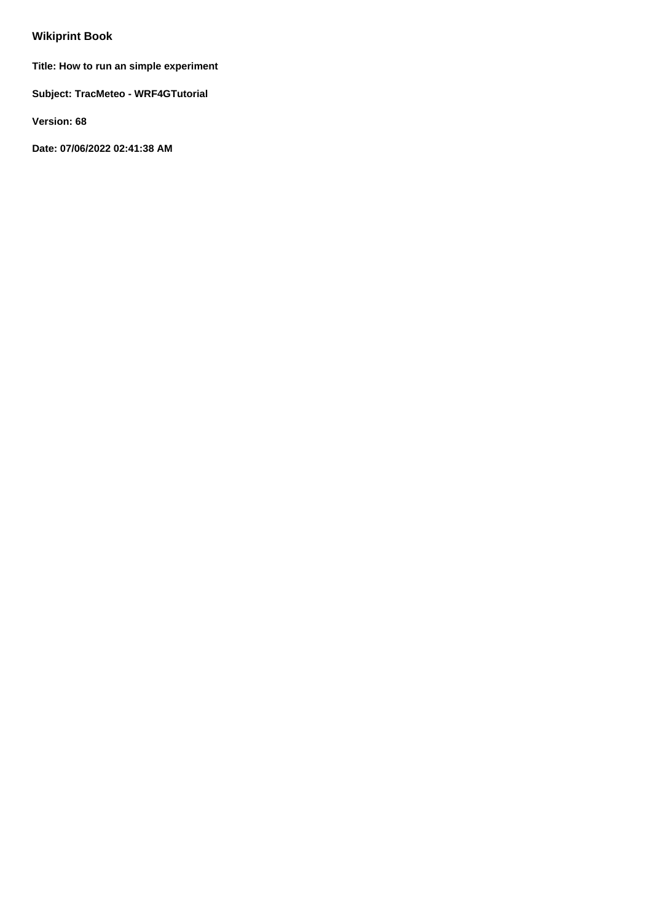# **Wikiprint Book**

**Title: How to run an simple experiment**

**Subject: TracMeteo - WRF4GTutorial**

**Version: 68**

**Date: 07/06/2022 02:41:38 AM**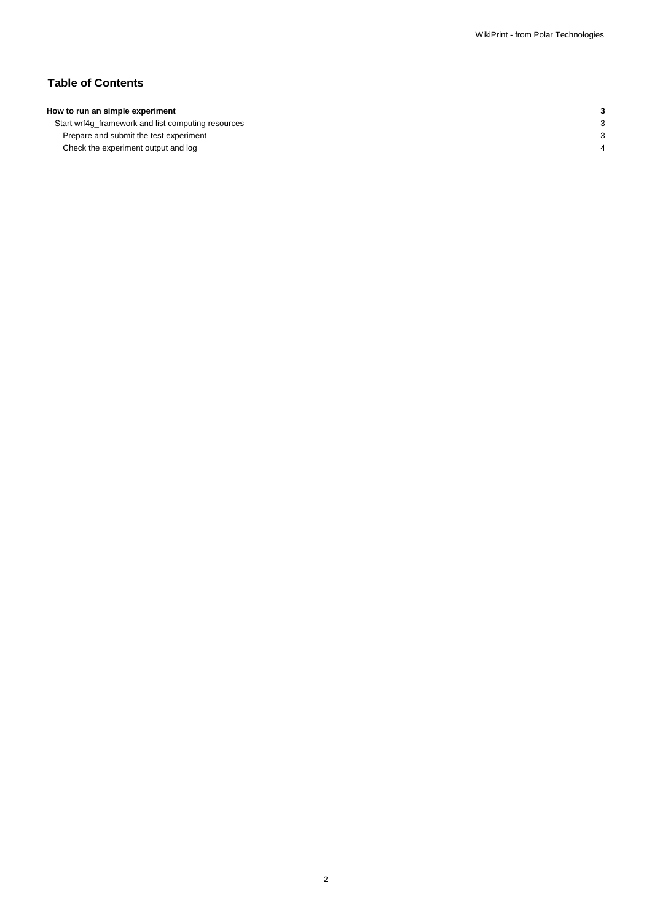## **Table of Contents**

## **How to run an simple experiment 3**

Start wrf4g\_framework and list computing resources 3 Prepare and submit the test experiment 3 Check the experiment output and log 4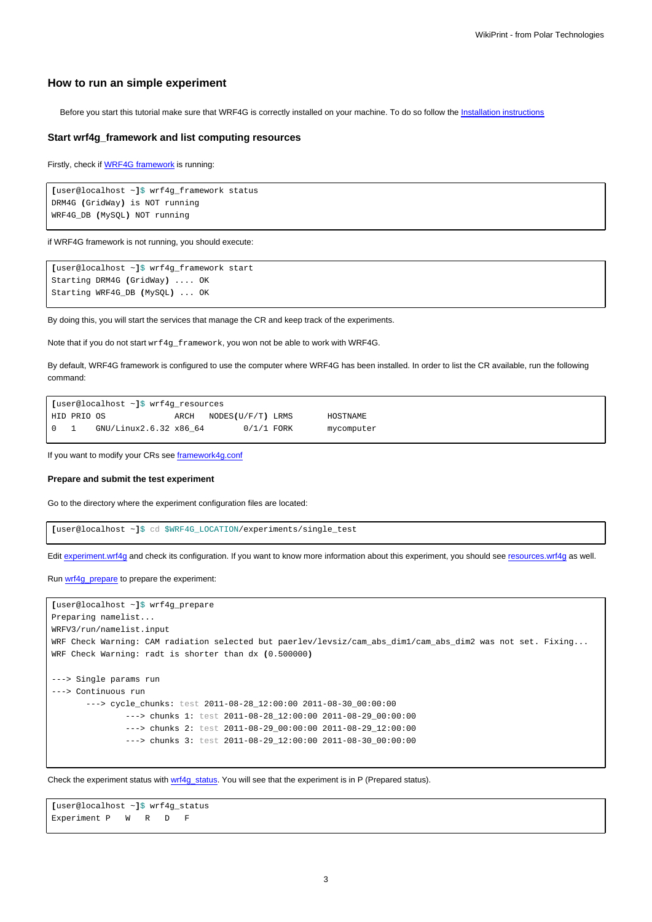## **How to run an simple experiment**

Before you start this tutorial make sure that WRF4G is correctly installed on your machine. To do so follow the [Installation instructions](https://meteo.unican.es/trac/wiki/WRF4GInstall)

### **Start wrf4g\_framework and list computing resources**

Firstly, check if [WRF4G framework](https://meteo.unican.es/trac/wiki/WRF4GFrameworkConfiguration) is running:

```
[user@localhost ~]$ wrf4g_framework status
DRM4G (GridWay) is NOT running
WRF4G_DB (MySQL) NOT running
```
if WRF4G framework is not running, you should execute:

```
[user@localhost ~]$ wrf4g_framework start
Starting DRM4G (GridWay) .... OK
Starting WRF4G_DB (MySQL) ... OK
```
By doing this, you will start the services that manage the CR and keep track of the experiments.

Note that if you do not start wrf4g\_framework, you won not be able to work with WRF4G.

By default, WRF4G framework is configured to use the computer where WRF4G has been installed. In order to list the CR available, run the following command:

```
[user@localhost ~]$ wrf4g_resources
HID PRIO OS ARCH NODES(U/F/T) LRMS HOSTNAME
0 1 GNU/Linux2.6.32 x86_64 0/1/1 FORK mycomputer
```
If you want to modify your CRs see [framework4g.conf](https://meteo.unican.es/trac/wiki/WRF4Gframework4g_conf#ComputingResources)

#### **Prepare and submit the test experiment**

Go to the directory where the experiment configuration files are located:

**[**user@localhost ~**]**\$ cd \$WRF4G\_LOCATION/experiments/single\_test

Edit [experiment.wrf4g](https://meteo.unican.es/trac/wiki/WRF4Gexperiment_wrf4g) and check its configuration. If you want to know more information about this experiment, you should see [resources.wrf4g](https://meteo.unican.es/trac/wiki/WRF4Gresources_wrf4g) as well.

Run [wrf4g\\_prepare](https://meteo.unican.es/trac/wiki/WRF4GCommandLineTools#wrf4g_prepare) to prepare the experiment:

```
[user@localhost ~]$ wrf4g_prepare
Preparing namelist...
WRFV3/run/namelist.input
WRF Check Warning: CAM radiation selected but paerlev/levsiz/cam_abs_dim1/cam_abs_dim2 was not set. Fixing...
WRF Check Warning: radt is shorter than dx (0.500000)
---> Single params run
---> Continuous run
       ---> cycle_chunks: test 2011-08-28_12:00:00 2011-08-30_00:00:00
              ---> chunks 1: test 2011-08-28_12:00:00 2011-08-29_00:00:00
               ---> chunks 2: test 2011-08-29_00:00:00 2011-08-29_12:00:00
               ---> chunks 3: test 2011-08-29_12:00:00 2011-08-30_00:00:00
```
Check the experiment status with [wrf4g\\_status.](https://meteo.unican.es/trac/wiki/WRF4GCommandLineTools#wrf4g_status) You will see that the experiment is in P (Prepared status).

**[**user@localhost ~**]**\$ wrf4g\_status Experiment P W R D F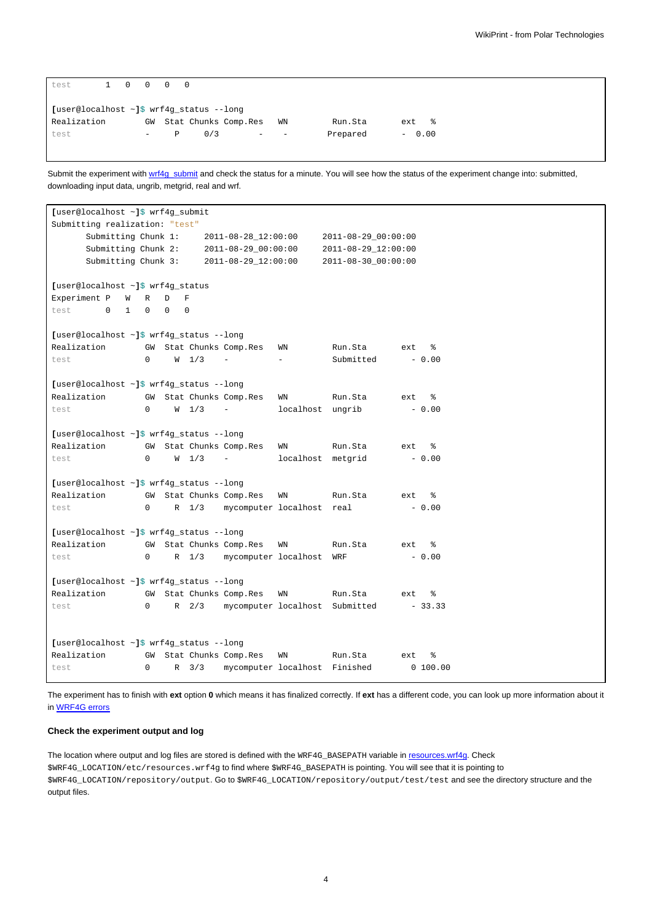| test                                           | 1 0 |  | $\Omega$                 |   |     |                      |                          |          |           |
|------------------------------------------------|-----|--|--------------------------|---|-----|----------------------|--------------------------|----------|-----------|
| [user@localhost $\sim$ ]\$ wrf4q status --lonq |     |  |                          |   |     |                      |                          |          |           |
| Realization                                    |     |  | GW                       |   |     | Stat Chunks Comp.Res | WN                       | Run.Sta  | ႜೢ<br>ext |
| test                                           |     |  | $\overline{\phantom{m}}$ | Р | 0/3 | -                    | $\overline{\phantom{a}}$ | Prepared | $-0.00$   |

Submit the experiment with [wrf4g\\_submit](https://meteo.unican.es/trac/wiki/WRF4GCommandLineTools#wrf4g_submit) and check the status for a minute. You will see how the status of the experiment change into: submitted, downloading input data, ungrib, metgrid, real and wrf.

```
[user@localhost ~]$ wrf4g_submit
Submitting realization: "test"
     Submitting Chunk 1: 2011-08-28_12:00:00 2011-08-29_00:00:00
     Submitting Chunk 2: 2011-08-29_00:00:00 2011-08-29_12:00:00
    Submitting Chunk 3: 2011-08-29_12:00:00 2011-08-30_00:00:00
[user@localhost ~]$ wrf4g_status
Experiment P W R D F
test 0 1 0 0 0
[user@localhost ~]$ wrf4g_status --long
Realization GW Stat Chunks Comp.Res WN Run.Sta ext %
test 0 W 1/3 - - Submitted - 0.00
[user@localhost ~]$ wrf4g_status --long
Realization GW Stat Chunks Comp.Res WN Run.Sta ext %
test 0 \tW 1/3 - localhost ungrib - 0.00
[user@localhost ~]$ wrf4g_status --long
Realization GW Stat Chunks Comp.Res WN Run.Sta ext %
test 0 W 1/3 - localhost metgrid - 0.00
[user@localhost ~]$ wrf4g_status --long
Realization GW Stat Chunks Comp.Res WN Run.Sta ext %
test 0 R 1/3 mycomputer localhost real - 0.00
[user@localhost ~]$ wrf4g_status --long
Realization GW Stat Chunks Comp.Res WN Run.Sta ext %
test 0 R 1/3 mycomputer localhost WRF - 0.00
[user@localhost ~]$ wrf4g_status --long
Realization GW Stat Chunks Comp.Res WN Run.Sta ext %
test 0 R 2/3 mycomputer localhost Submitted - 33.33
[user@localhost ~]$ wrf4g_status --long
Realization GW Stat Chunks Comp.Res WN Run.Sta ext %
test 0 R 3/3 mycomputer localhost Finished 0 100.00
```
The experiment has to finish with **ext** option **0** which means it has finalized correctly. If **ext** has a different code, you can look up more information about it in [WRF4G errors](https://meteo.unican.es/trac/wiki/WRF4GErrors)

#### **Check the experiment output and log**

The location where output and log files are stored is defined with the WRF4G\_BASEPATH variable in [resources.wrf4g.](https://meteo.unican.es/trac/wiki/WRF4Gresources_wrf4g) Check \$WRF4G\_LOCATION/etc/resources.wrf4g to find where \$WRF4G\_BASEPATH is pointing. You will see that it is pointing to \$WRF4G\_LOCATION/repository/output. Go to \$WRF4G\_LOCATION/repository/output/test/test and see the directory structure and the output files.